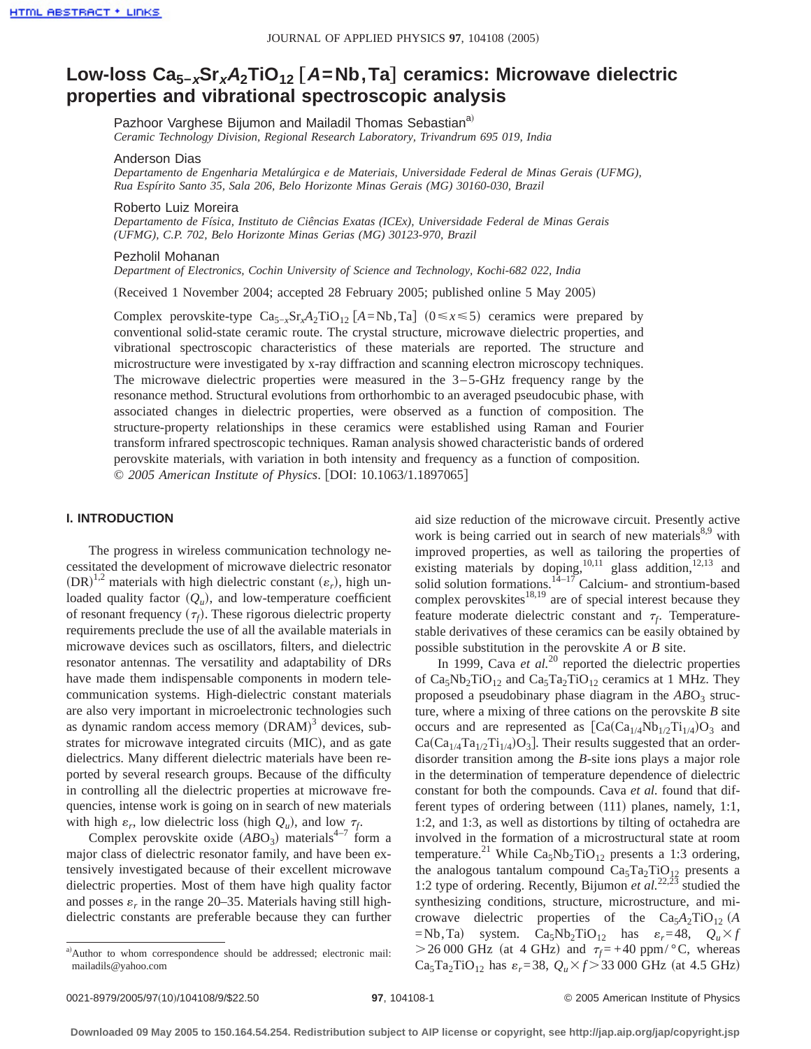# **Low-loss Ca5−xSrx<sup>A</sup>2TiO12** †**A=Nb,Ta**‡ **ceramics: Microwave dielectric properties and vibrational spectroscopic analysis**

Pazhoor Varghese Bijumon and Mailadil Thomas Sebastian<sup>a)</sup>

*Ceramic Technology Division, Regional Research Laboratory, Trivandrum 695 019, India*

# Anderson Dias

*Departamento de Engenharia Metalúrgica e de Materiais, Universidade Federal de Minas Gerais (UFMG), Rua Espírito Santo 35, Sala 206, Belo Horizonte Minas Gerais (MG) 30160-030, Brazil*

#### Roberto Luiz Moreira

*Departamento de Física, Instituto de Ciências Exatas (ICEx), Universidade Federal de Minas Gerais (UFMG), C.P. 702, Belo Horizonte Minas Gerias (MG) 30123-970, Brazil*

#### Pezholil Mohanan

*Department of Electronics, Cochin University of Science and Technology, Kochi-682 022, India*

(Received 1 November 2004; accepted 28 February 2005; published online 5 May 2005)

Complex perovskite-type  $Ca_{5-x}Sr_xA_2TiO_{12}$  [*A*=Nb,Ta] (0≤*x*≤5) ceramics were prepared by conventional solid-state ceramic route. The crystal structure, microwave dielectric properties, and vibrational spectroscopic characteristics of these materials are reported. The structure and microstructure were investigated by x-ray diffraction and scanning electron microscopy techniques. The microwave dielectric properties were measured in the  $3-5-GHz$  frequency range by the resonance method. Structural evolutions from orthorhombic to an averaged pseudocubic phase, with associated changes in dielectric properties, were observed as a function of composition. The structure-property relationships in these ceramics were established using Raman and Fourier transform infrared spectroscopic techniques. Raman analysis showed characteristic bands of ordered perovskite materials, with variation in both intensity and frequency as a function of composition. © 2005 American Institute of Physics. [DOI: 10.1063/1.1897065]

## **I. INTRODUCTION**

The progress in wireless communication technology necessitated the development of microwave dielectric resonator  $(DR)^{1,2}$  materials with high dielectric constant  $(\varepsilon_r)$ , high unloaded quality factor  $(Q_u)$ , and low-temperature coefficient of resonant frequency  $(\tau_f)$ . These rigorous dielectric property requirements preclude the use of all the available materials in microwave devices such as oscillators, filters, and dielectric resonator antennas. The versatility and adaptability of DRs have made them indispensable components in modern telecommunication systems. High-dielectric constant materials are also very important in microelectronic technologies such as dynamic random access memory  $(DRAM)^3$  devices, substrates for microwave integrated circuits (MIC), and as gate dielectrics. Many different dielectric materials have been reported by several research groups. Because of the difficulty in controlling all the dielectric properties at microwave frequencies, intense work is going on in search of new materials with high  $\varepsilon_r$ , low dielectric loss (high  $Q_u$ ), and low  $\tau_f$ .

Complex perovskite oxide  $(ABO<sub>3</sub>)$  materials<sup>4–7</sup> form a major class of dielectric resonator family, and have been extensively investigated because of their excellent microwave dielectric properties. Most of them have high quality factor and posses  $\varepsilon_r$  in the range 20–35. Materials having still highdielectric constants are preferable because they can further aid size reduction of the microwave circuit. Presently active work is being carried out in search of new materials $8.9$  with improved properties, as well as tailoring the properties of existing materials by doping,<sup>10,11</sup> glass addition,<sup>12,13</sup> and solid solution formations.<sup>14–17</sup> Calcium- and strontium-based complex perovskites $18,19$  are of special interest because they feature moderate dielectric constant and  $\tau_f$ . Temperaturestable derivatives of these ceramics can be easily obtained by possible substitution in the perovskite *A* or *B* site.

In 1999, Cava *et al.*<sup>20</sup> reported the dielectric properties of  $Ca<sub>5</sub>Nb<sub>2</sub>TiO<sub>12</sub>$  and  $Ca<sub>5</sub>Ta<sub>2</sub>TiO<sub>12</sub>$  ceramics at 1 MHz. They proposed a pseudobinary phase diagram in the  $ABO<sub>3</sub>$  structure, where a mixing of three cations on the perovskite *B* site occurs and are represented as  $[Ca(Ca_{1/4}Nb_{1/2}Ti_{1/4})O_3$  and  $Ca(Ca_{1/4}Ta_{1/2}Ti_{1/4})O_3$ . Their results suggested that an orderdisorder transition among the *B*-site ions plays a major role in the determination of temperature dependence of dielectric constant for both the compounds. Cava *et al.* found that different types of ordering between  $(111)$  planes, namely, 1:1, 1:2, and 1:3, as well as distortions by tilting of octahedra are involved in the formation of a microstructural state at room temperature.<sup>21</sup> While Ca<sub>5</sub>Nb<sub>2</sub>TiO<sub>12</sub> presents a 1:3 ordering, the analogous tantalum compound  $Ca<sub>5</sub>Ta<sub>2</sub>TiO<sub>12</sub>$  presents a 1:2 type of ordering. Recently, Bijumon *et al.*22,23 studied the synthesizing conditions, structure, microstructure, and microwave dielectric properties of the  $Ca<sub>5</sub>A<sub>2</sub>TiO<sub>12</sub>$  (A  $=$ Nb,Ta) system. Ca<sub>5</sub>Nb<sub>2</sub>TiO<sub>12</sub> has  $\varepsilon_r$  = 48,  $Q_u \times f$  $>$  26 000 GHz (at 4 GHz) and  $\tau_f$  = +40 ppm/ $\degree$ C, whereas  $Ca_5Ta_2TiO_{12}$  has  $\varepsilon_r = 38$ ,  $Q_u \times f > 33\,000$  GHz (at 4.5 GHz)

a)Author to whom correspondence should be addressed; electronic mail: mailadils@yahoo.com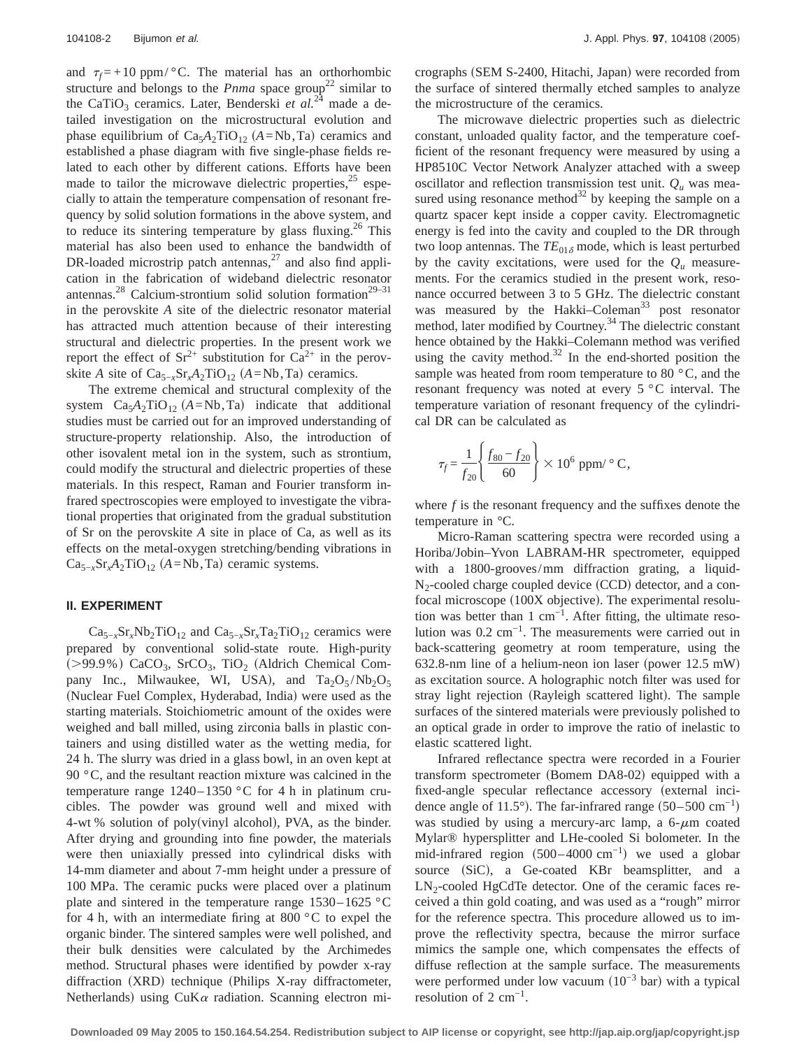and  $\tau_f = +10$  ppm/ $\degree$ C. The material has an orthorhombic structure and belongs to the *Pnma* space group<sup>22</sup> similar to the CaTiO<sub>3</sub> ceramics. Later, Benderski *et al.*<sup>24</sup> made a detailed investigation on the microstructural evolution and phase equilibrium of  $Ca<sub>5</sub>A<sub>2</sub>TiO<sub>12</sub>$  (*A*=Nb,Ta) ceramics and established a phase diagram with five single-phase fields related to each other by different cations. Efforts have been made to tailor the microwave dielectric properties, $25$  especially to attain the temperature compensation of resonant frequency by solid solution formations in the above system, and to reduce its sintering temperature by glass fluxing.<sup>26</sup> This material has also been used to enhance the bandwidth of DR-loaded microstrip patch antennas, $27$  and also find application in the fabrication of wideband dielectric resonator antennas.<sup>28</sup> Calcium-strontium solid solution formation<sup>29–31</sup> in the perovskite *A* site of the dielectric resonator material has attracted much attention because of their interesting structural and dielectric properties. In the present work we report the effect of  $Sr^{2+}$  substitution for  $Ca^{2+}$  in the perovskite *A* site of  $Ca_{5-x}Sr_xA_2TiO_{12}$  (*A*=Nb,Ta) ceramics.

The extreme chemical and structural complexity of the system  $Ca<sub>5</sub>A<sub>2</sub>TiO<sub>12</sub> (A=Nb, Ta)$  indicate that additional studies must be carried out for an improved understanding of structure-property relationship. Also, the introduction of other isovalent metal ion in the system, such as strontium, could modify the structural and dielectric properties of these materials. In this respect, Raman and Fourier transform infrared spectroscopies were employed to investigate the vibrational properties that originated from the gradual substitution of Sr on the perovskite *A* site in place of Ca, as well as its effects on the metal-oxygen stretching/bending vibrations in  $Ca_{5-x}Sr_xA_2TiO_{12}$  (*A*=Nb, Ta) ceramic systems.

# **II. EXPERIMENT**

 $Ca_{5-x}Sr_xNb_2TiO_{12}$  and  $Ca_{5-x}Sr_xTa_2TiO_{12}$  ceramics were prepared by conventional solid-state route. High-purity  $(>99.9\%)$  CaCO<sub>3</sub>, SrCO<sub>3</sub>, TiO<sub>2</sub> (Aldrich Chemical Company Inc., Milwaukee, WI, USA), and  $Ta_2O_5/Nb_2O_5$ (Nuclear Fuel Complex, Hyderabad, India) were used as the starting materials. Stoichiometric amount of the oxides were weighed and ball milled, using zirconia balls in plastic containers and using distilled water as the wetting media, for 24 h. The slurry was dried in a glass bowl, in an oven kept at 90 °C, and the resultant reaction mixture was calcined in the temperature range 1240–1350 °C for 4 h in platinum crucibles. The powder was ground well and mixed with 4-wt % solution of poly(vinyl alcohol), PVA, as the binder. After drying and grounding into fine powder, the materials were then uniaxially pressed into cylindrical disks with 14-mm diameter and about 7-mm height under a pressure of 100 MPa. The ceramic pucks were placed over a platinum plate and sintered in the temperature range 1530–1625 °C for 4 h, with an intermediate firing at 800  $\degree$ C to expel the organic binder. The sintered samples were well polished, and their bulk densities were calculated by the Archimedes method. Structural phases were identified by powder x-ray diffraction  $(XRD)$  technique (Philips X-ray diffractometer, Netherlands) using CuK $\alpha$  radiation. Scanning electron micrographs (SEM S-2400, Hitachi, Japan) were recorded from the surface of sintered thermally etched samples to analyze the microstructure of the ceramics.

The microwave dielectric properties such as dielectric constant, unloaded quality factor, and the temperature coefficient of the resonant frequency were measured by using a HP8510C Vector Network Analyzer attached with a sweep oscillator and reflection transmission test unit.  $Q_u$  was measured using resonance method $^{32}$  by keeping the sample on a quartz spacer kept inside a copper cavity. Electromagnetic energy is fed into the cavity and coupled to the DR through two loop antennas. The  $TE_{01\delta}$  mode, which is least perturbed by the cavity excitations, were used for the  $Q_u$  measurements. For the ceramics studied in the present work, resonance occurred between 3 to 5 GHz. The dielectric constant was measured by the Hakki–Coleman<sup>33</sup> post resonator method, later modified by Courtney.<sup>34</sup> The dielectric constant hence obtained by the Hakki–Colemann method was verified using the cavity method. $32$  In the end-shorted position the sample was heated from room temperature to 80 °C, and the resonant frequency was noted at every 5 °C interval. The temperature variation of resonant frequency of the cylindrical DR can be calculated as

$$
\tau_f = \frac{1}{f_{20}} \left\{ \frac{f_{80} - f_{20}}{60} \right\} \times 10^6 \text{ ppm} / ^{\circ} \text{C},
$$

where *f* is the resonant frequency and the suffixes denote the temperature in °C.

Micro-Raman scattering spectra were recorded using a Horiba/Jobin–Yvon LABRAM-HR spectrometer, equipped with a 1800-grooves/mm diffraction grating, a liquid- $N_2$ -cooled charge coupled device (CCD) detector, and a confocal microscope (100X objective). The experimental resolution was better than 1 cm<sup>-1</sup>. After fitting, the ultimate resolution was 0.2 cm−1. The measurements were carried out in back-scattering geometry at room temperature, using the 632.8-nm line of a helium-neon ion laser (power  $12.5$  mW) as excitation source. A holographic notch filter was used for stray light rejection (Rayleigh scattered light). The sample surfaces of the sintered materials were previously polished to an optical grade in order to improve the ratio of inelastic to elastic scattered light.

Infrared reflectance spectra were recorded in a Fourier transform spectrometer (Bomem DA8-02) equipped with a fixed-angle specular reflectance accessory (external incidence angle of 11.5°). The far-infrared range  $(50–500 \text{ cm}^{-1})$ was studied by using a mercury-arc lamp, a  $6-\mu m$  coated Mylar® hypersplitter and LHe-cooled Si bolometer. In the mid-infrared region  $(500-4000 \text{ cm}^{-1})$  we used a globar source (SiC), a Ge-coated KBr beamsplitter, and a  $LN_2$ -cooled HgCdTe detector. One of the ceramic faces received a thin gold coating, and was used as a "rough" mirror for the reference spectra. This procedure allowed us to improve the reflectivity spectra, because the mirror surface mimics the sample one, which compensates the effects of diffuse reflection at the sample surface. The measurements were performed under low vacuum  $(10^{-3}$  bar) with a typical resolution of 2  $cm^{-1}$ .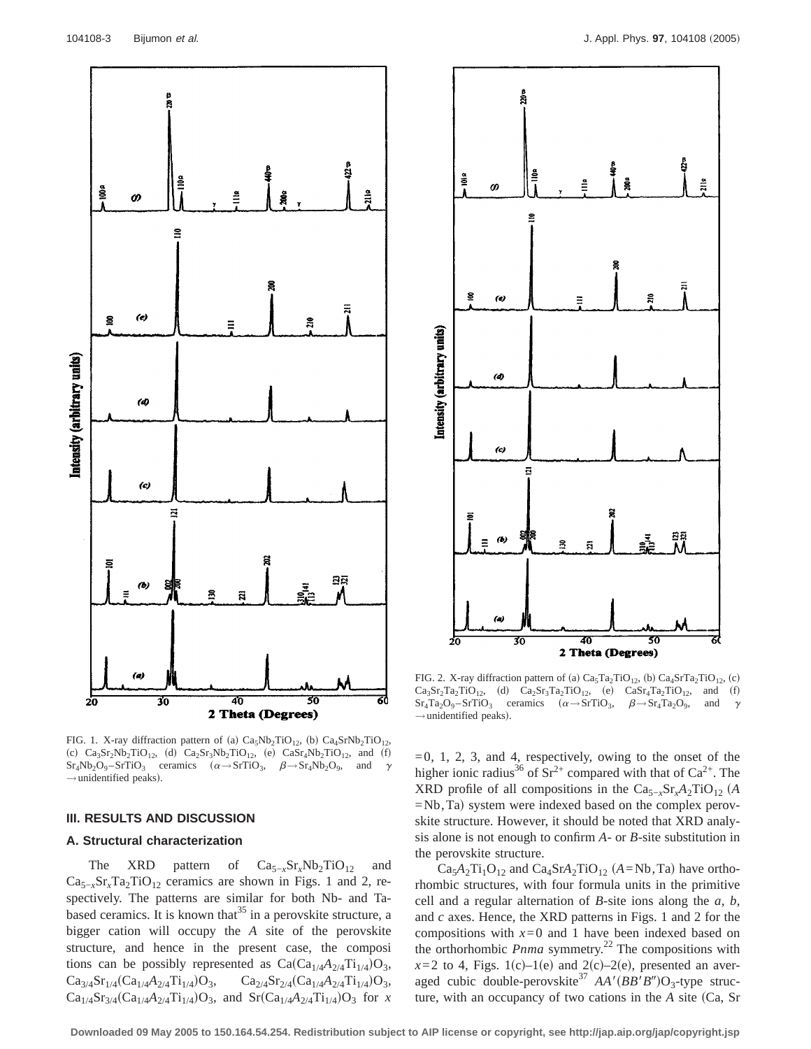

FIG. 1. X-ray diffraction pattern of (a)  $Ca<sub>5</sub>Nb<sub>2</sub>TiO<sub>12</sub>$ , (b)  $Ca<sub>4</sub>SrNb<sub>2</sub>TiO<sub>12</sub>$ , (c)  $Ca_3Sr_2Nb_2TiO_{12}$ , (d)  $Ca_2Sr_3Nb_2TiO_{12}$ , (e)  $CaSr_4Nb_2TiO_{12}$ , and (f)  $Sr_4Nb_2O_9 - SrTiO_3$  ceramics  $(\alpha \rightarrow SrTiO_3, \beta \rightarrow Sr_4Nb_2O_9,$  and  $\gamma$  $\rightarrow$ unidentified peaks).

#### **III. RESULTS AND DISCUSSION**

#### **A. Structural characterization**

The XRD pattern of Ca<sub>5−*x*</sub>Sr<sub>*x*</sub>Nb<sub>2</sub>TiO<sub>12</sub> and  $Ca_{5-x}Sr_{x}Ta_{2}TiO_{12}$  ceramics are shown in Figs. 1 and 2, respectively. The patterns are similar for both Nb- and Tabased ceramics. It is known that  $35$  in a perovskite structure, a bigger cation will occupy the *A* site of the perovskite structure, and hence in the present case, the composi tions can be possibly represented as  $Ca(Ca_{1/4}A_{2/4}Ti_{1/4})O_3$ ,  $Ca_{3/4}Sr_{1/4}(Ca_{1/4}A_{2/4}Ti_{1/4})O_3$ ,  $Ca_{2/4}Sr_{2/4}(Ca_{1/4}A_{2/4}Ti_{1/4})O_3$ ,  $Ca_{1/4}Sr_{3/4}(Ca_{1/4}A_{2/4}Ti_{1/4})O_3$ , and  $Sr(Ca_{1/4}A_{2/4}Ti_{1/4})O_3$  for *x* 



FIG. 2. X-ray diffraction pattern of (a)  $Ca<sub>5</sub>Ta<sub>2</sub>TiO<sub>12</sub>$ , (b)  $Ca<sub>4</sub>SrTa<sub>2</sub>TiO<sub>12</sub>$ , (c)  $Ca_3Sr_2Ta_2TiO_{12}$ , (d)  $Ca_2Sr_3Ta_2TiO_{12}$ , (e)  $CaSr_4Ta_2TiO_{12}$ , and (f)  $Sr_4Ta_2O_9 - SrTiO_3$  ceramics  $(\alpha \rightarrow SrTiO_3, \beta \rightarrow Sr_4Ta_2O_9,$  and  $\gamma$  $\rightarrow$ unidentified peaks).

 $=0, 1, 2, 3,$  and 4, respectively, owing to the onset of the higher ionic radius<sup>36</sup> of  $Sr^{2+}$  compared with that of  $Ca^{2+}$ . The XRD profile of all compositions in the  $Ca_{5-x}Sr_1A_2TiO_{12}$  (A  $=$ Nb,Ta) system were indexed based on the complex perovskite structure. However, it should be noted that XRD analysis alone is not enough to confirm *A*- or *B*-site substitution in the perovskite structure.

 $Ca<sub>5</sub>A<sub>2</sub>Ti<sub>1</sub>O<sub>12</sub>$  and  $Ca<sub>4</sub>SrA<sub>2</sub>TiO<sub>12</sub>$  (*A*=Nb, Ta) have orthorhombic structures, with four formula units in the primitive cell and a regular alternation of *B*-site ions along the *a*, *b*, and *c* axes. Hence, the XRD patterns in Figs. 1 and 2 for the compositions with  $x=0$  and 1 have been indexed based on the orthorhombic *Pnma* symmetry.<sup>22</sup> The compositions with  $x=2$  to 4, Figs. 1(c)–1(e) and 2(c)–2(e), presented an averaged cubic double-perovskite<sup>37</sup>  $AA'(BB'B'')O_3$ -type structure, with an occupancy of two cations in the *A* site (Ca, Sr

**Downloaded 09 May 2005 to 150.164.54.254. Redistribution subject to AIP license or copyright, see http://jap.aip.org/jap/copyright.jsp**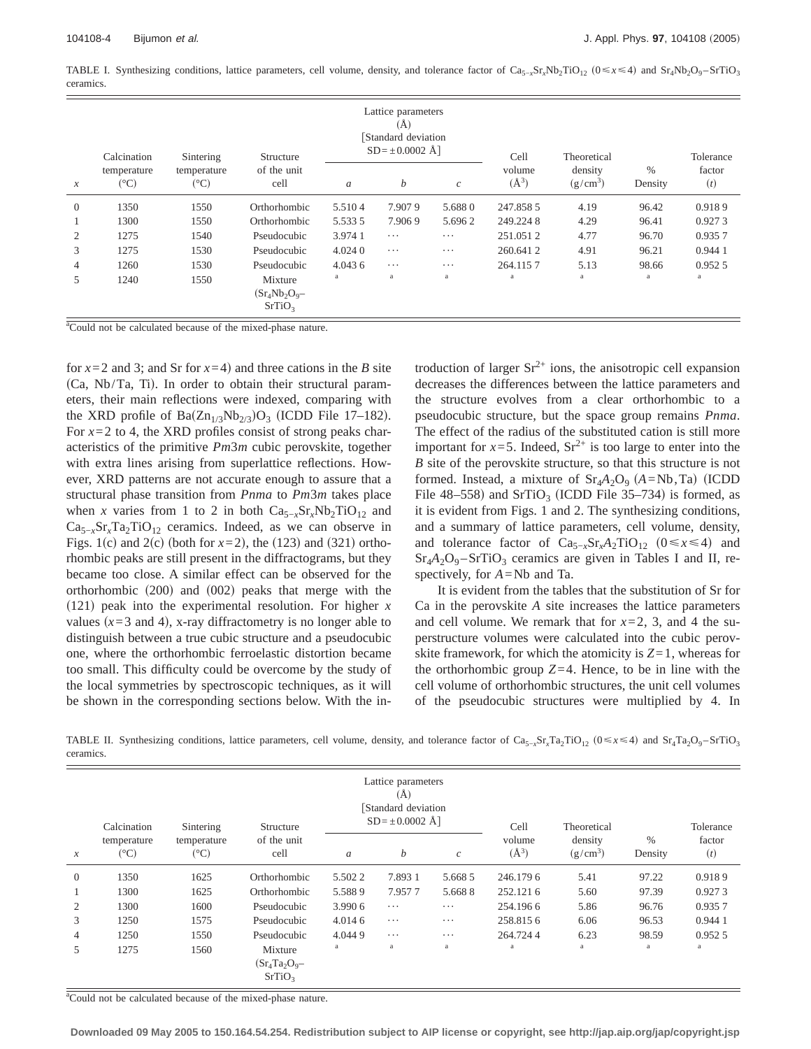TABLE I. Synthesizing conditions, lattice parameters, cell volume, density, and tolerance factor of Ca<sub>5</sub><sub>*x*</sub>Sr<sub>x</sub>Nb<sub>2</sub>TiO<sub>12</sub> ( $0 \le x \le 4$ ) and Sr<sub>4</sub>Nb<sub>2</sub>O<sub>9</sub>–SrTiO<sub>3</sub> ceramics.

|                  | Calcination                 | Sintering                   | Structure                                        | Lattice parameters<br>(A)<br>Standard deviation<br>$SD = \pm 0.0002$ Å |          |                             | Cell                | Theoretical           |                 | Tolerance     |
|------------------|-----------------------------|-----------------------------|--------------------------------------------------|------------------------------------------------------------------------|----------|-----------------------------|---------------------|-----------------------|-----------------|---------------|
| $\boldsymbol{x}$ | temperature<br>$(^\circ C)$ | temperature<br>$(^\circ C)$ | of the unit<br>cell                              | $\boldsymbol{a}$                                                       | b        | $\mathcal{C}_{\mathcal{C}}$ | volume<br>$(\AA^3)$ | density<br>$(g/cm^3)$ | $\%$<br>Density | factor<br>(t) |
| $\theta$         | 1350                        | 1550                        | Orthorhombic                                     | 5.5104                                                                 | 7.9079   | 5.6880                      | 247.858.5           | 4.19                  | 96.42           | 0.9189        |
|                  | 1300                        | 1550                        | Orthorhombic                                     | 5.5335                                                                 | 7.9069   | 5.6962                      | 249.2248            | 4.29                  | 96.41           | 0.9273        |
| 2                | 1275                        | 1540                        | Pseudocubic                                      | 3.9741                                                                 | $\cdots$ | $\cdots$                    | 251.0512            | 4.77                  | 96.70           | 0.9357        |
| 3                | 1275                        | 1530                        | Pseudocubic                                      | 4.0240                                                                 | .        | .                           | 260.6412            | 4.91                  | 96.21           | 0.944 1       |
| 4                | 1260                        | 1530                        | Pseudocubic                                      | 4.043 6                                                                | $\cdots$ | $\cdots$                    | 264.1157            | 5.13                  | 98.66           | 0.9525        |
| 5                | 1240                        | 1550                        | Mixture<br>$(Sr_4Nb_2O_9-$<br>SrTiO <sub>3</sub> | a                                                                      | a        | a                           | a                   | a                     | a               | a             |

<sup>a</sup>Could not be calculated because of the mixed-phase nature.

for  $x=2$  and 3; and Sr for  $x=4$ ) and three cations in the *B* site  $(Ca, Nb/Ta, Ti)$ . In order to obtain their structural parameters, their main reflections were indexed, comparing with the XRD profile of  $Ba(Zn_{1/3}Nb_{2/3})O_3$  (ICDD File 17–182). For  $x=2$  to 4, the XRD profiles consist of strong peaks characteristics of the primitive *Pm*3*m* cubic perovskite, together with extra lines arising from superlattice reflections. However, XRD patterns are not accurate enough to assure that a structural phase transition from *Pnma* to *Pm*3*m* takes place when *x* varies from 1 to 2 in both  $Ca_{5-x}Sr_xNb_2TiO_{12}$  and  $Ca_{5-x}Sr_{x}Ta_{2}TiO_{12}$  ceramics. Indeed, as we can observe in Figs. 1(c) and 2(c) (both for  $x=2$ ), the (123) and (321) orthorhombic peaks are still present in the diffractograms, but they became too close. A similar effect can be observed for the orthorhombic  $(200)$  and  $(002)$  peaks that merge with the  $(121)$  peak into the experimental resolution. For higher *x* values  $(x=3$  and 4), x-ray diffractometry is no longer able to distinguish between a true cubic structure and a pseudocubic one, where the orthorhombic ferroelastic distortion became too small. This difficulty could be overcome by the study of the local symmetries by spectroscopic techniques, as it will be shown in the corresponding sections below. With the introduction of larger  $Sr^{2+}$  ions, the anisotropic cell expansion decreases the differences between the lattice parameters and the structure evolves from a clear orthorhombic to a pseudocubic structure, but the space group remains *Pnma*. The effect of the radius of the substituted cation is still more important for  $x=5$ . Indeed,  $Sr^{2+}$  is too large to enter into the *B* site of the perovskite structure, so that this structure is not formed. Instead, a mixture of  $Sr_4A_2O_9$   $(A=Nb, Ta)$  (ICDD File 48–558) and  $SrTiO<sub>3</sub>$  (ICDD File 35–734) is formed, as it is evident from Figs. 1 and 2. The synthesizing conditions, and a summary of lattice parameters, cell volume, density, and tolerance factor of  $Ca_{5-x}Sr_xA_2TiO_{12}$  (0≤*x*≤4) and  $Sr_4A_2O_9 - SrTiO_3$  ceramics are given in Tables I and II, respectively, for *A*=Nb and Ta.

It is evident from the tables that the substitution of Sr for Ca in the perovskite *A* site increases the lattice parameters and cell volume. We remark that for  $x=2$ , 3, and 4 the superstructure volumes were calculated into the cubic perovskite framework, for which the atomicity is  $Z=1$ , whereas for the orthorhombic group  $Z=4$ . Hence, to be in line with the cell volume of orthorhombic structures, the unit cell volumes of the pseudocubic structures were multiplied by 4. In

TABLE II. Synthesizing conditions, lattice parameters, cell volume, density, and tolerance factor of Ca<sub>5−*x*</sub>Sr<sub>x</sub>Ta<sub>2</sub>TiO<sub>12</sub> ( $0 \le x \le 4$ ) and Sr<sub>4</sub>Ta<sub>2</sub>O<sub>9</sub>−SrTiO<sub>3</sub> ceramics.

|                     | Calcination                 | Sintering                   | Structure                                         | Lattice parameters<br>(Ă)<br>Standard deviation<br>$SD = \pm 0.0002$ Å |          |                  | Cell                | Theoretical           |                 | Tolerance     |
|---------------------|-----------------------------|-----------------------------|---------------------------------------------------|------------------------------------------------------------------------|----------|------------------|---------------------|-----------------------|-----------------|---------------|
| $\boldsymbol{\chi}$ | temperature<br>$(^\circ C)$ | temperature<br>$(^\circ C)$ | of the unit<br>cell                               | $\boldsymbol{a}$                                                       | b        | $\boldsymbol{c}$ | volume<br>$(\AA^3)$ | density<br>$(g/cm^3)$ | $\%$<br>Density | factor<br>(t) |
| $\theta$            | 1350                        | 1625                        | Orthorhombic                                      | 5.5022                                                                 | 7.893 1  | 5.668.5          | 246.1796            | 5.41                  | 97.22           | 0.9189        |
|                     | 1300                        | 1625                        | Orthorhombic                                      | 5.5889                                                                 | 7.9577   | 5.6688           | 252.1216            | 5.60                  | 97.39           | 0.9273        |
| 2                   | 1300                        | 1600                        | Pseudocubic                                       | 3.990 6                                                                | $\cdots$ | $\cdots$         | 254.1966            | 5.86                  | 96.76           | 0.9357        |
| 3                   | 1250                        | 1575                        | Pseudocubic                                       | 4.014 6                                                                | $\cdots$ | $\cdots$         | 258.8156            | 6.06                  | 96.53           | 0.9441        |
| 4                   | 1250                        | 1550                        | Pseudocubic                                       | 4.0449                                                                 | $\cdots$ | $\cdots$         | 264.7244            | 6.23                  | 98.59           | 0.9525        |
| 5                   | 1275                        | 1560                        | Mixture<br>$(Sr_4Ta_2O_9 -$<br>SrTiO <sub>3</sub> | a                                                                      | a        | a                | a                   | a                     | a               | a             |

<sup>a</sup>Could not be calculated because of the mixed-phase nature.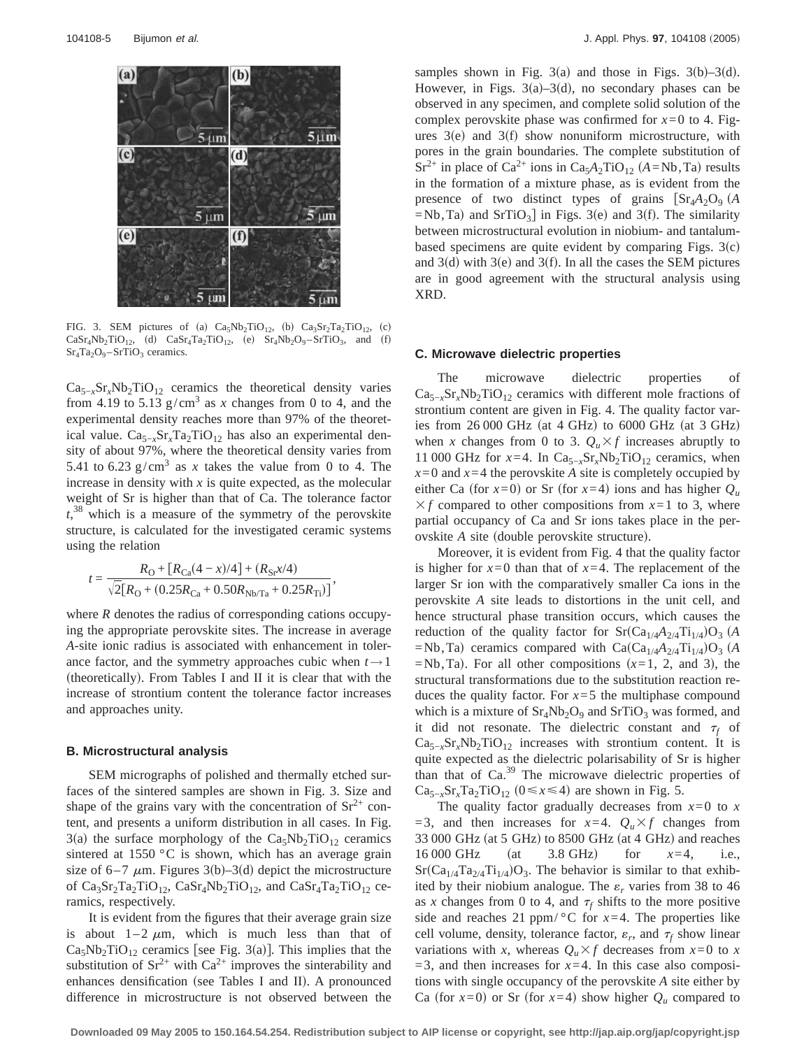

FIG. 3. SEM pictures of (a)  $Ca<sub>5</sub>Nb<sub>2</sub>TiO<sub>12</sub>$ , (b)  $Ca<sub>3</sub>Sr<sub>2</sub>Ta<sub>2</sub>TiO<sub>12</sub>$ , (c)  $Casr_4Nb_2TiO_{12}$ , (d)  $Casr_4Ta_2TiO_{12}$ , (e)  $Sr_4Nb_2O_9-SrTiO_3$ , and (f)  $Sr_4Ta_2O_9 - SrTiO_3$  ceramics.

 $Ca_{5-x}Sr_xNb_2TiO_{12}$  ceramics the theoretical density varies from 4.19 to 5.13  $g/cm<sup>3</sup>$  as *x* changes from 0 to 4, and the experimental density reaches more than 97% of the theoretical value.  $Ca_{5-x}Sr_xTa_2TiO_{12}$  has also an experimental density of about 97%, where the theoretical density varies from 5.41 to 6.23  $g/cm<sup>3</sup>$  as *x* takes the value from 0 to 4. The increase in density with *x* is quite expected, as the molecular weight of Sr is higher than that of Ca. The tolerance factor *t*, <sup>38</sup> which is a measure of the symmetry of the perovskite structure, is calculated for the investigated ceramic systems using the relation

$$
t = \frac{R_{\rm O} + [R_{\rm Ca}(4-x)/4] + (R_{\rm Sr}x/4)}{\sqrt{2}[R_{\rm O} + (0.25R_{\rm Ca} + 0.50R_{\rm Nb/Ta} + 0.25R_{\rm Ti})]},
$$

where *R* denotes the radius of corresponding cations occupying the appropriate perovskite sites. The increase in average *A*-site ionic radius is associated with enhancement in tolerance factor, and the symmetry approaches cubic when  $t \rightarrow 1$ (theoretically). From Tables I and II it is clear that with the increase of strontium content the tolerance factor increases and approaches unity.

#### **B. Microstructural analysis**

SEM micrographs of polished and thermally etched surfaces of the sintered samples are shown in Fig. 3. Size and shape of the grains vary with the concentration of  $Sr^{2+}$  content, and presents a uniform distribution in all cases. In Fig. 3(a) the surface morphology of the  $Ca<sub>5</sub>Nb<sub>2</sub>TiO<sub>12</sub>$  ceramics sintered at 1550 °C is shown, which has an average grain size of 6–7  $\mu$ m. Figures 3(b)–3(d) depict the microstructure of  $Ca_3Sr_2Ta_2TiO_{12}$ ,  $CaSr_4Nb_2TiO_{12}$ , and  $CaSr_4Ta_2TiO_{12}$  ceramics, respectively.

It is evident from the figures that their average grain size is about  $1-2 \mu m$ , which is much less than that of  $Ca<sub>5</sub>Nb<sub>2</sub>TiO<sub>12</sub>$  ceramics [see Fig. 3(a)]. This implies that the substitution of  $Sr^{2+}$  with  $Ca^{2+}$  improves the sinterability and enhances densification (see Tables I and II). A pronounced difference in microstructure is not observed between the

samples shown in Fig. 3(a) and those in Figs. 3(b)–3(d). However, in Figs.  $3(a)-3(d)$ , no secondary phases can be observed in any specimen, and complete solid solution of the complex perovskite phase was confirmed for  $x=0$  to 4. Figures  $3(e)$  and  $3(f)$  show nonuniform microstructure, with pores in the grain boundaries. The complete substitution of  $Sr^{2+}$  in place of Ca<sup>2+</sup> ions in Ca<sub>5</sub> $A_2TiO_{12}$  (*A*=Nb,Ta) results in the formation of a mixture phase, as is evident from the presence of two distinct types of grains  $\left[ \text{Sr}_4\text{A}_2\text{O}_9 \right]$  *A*  $=$ Nb,Ta) and SrTiO<sub>3</sub> in Figs. 3(e) and 3(f). The similarity between microstructural evolution in niobium- and tantalumbased specimens are quite evident by comparing Figs.  $3(c)$ and  $3(d)$  with  $3(e)$  and  $3(f)$ . In all the cases the SEM pictures are in good agreement with the structural analysis using XRD.

#### **C. Microwave dielectric properties**

The microwave dielectric properties of  $Ca_{5-x}Sr_xNb_2TiO_{12}$  ceramics with different mole fractions of strontium content are given in Fig. 4. The quality factor varies from  $26\,000$  GHz (at 4 GHz) to 6000 GHz (at 3 GHz) when *x* changes from 0 to 3.  $Q_u \times f$  increases abruptly to 11 000 GHz for  $x=4$ . In Ca<sub>5-*x*</sub>Sr<sub>*x*</sub>Nb<sub>2</sub>TiO<sub>12</sub> ceramics, when  $x=0$  and  $x=4$  the perovskite *A* site is completely occupied by either Ca (for  $x=0$ ) or Sr (for  $x=4$ ) ions and has higher  $Q_u$  $\times f$  compared to other compositions from  $x=1$  to 3, where partial occupancy of Ca and Sr ions takes place in the perovskite *A* site (double perovskite structure).

Moreover, it is evident from Fig. 4 that the quality factor is higher for  $x=0$  than that of  $x=4$ . The replacement of the larger Sr ion with the comparatively smaller Ca ions in the perovskite *A* site leads to distortions in the unit cell, and hence structural phase transition occurs, which causes the reduction of the quality factor for  $Sr(Ca_{1/4}A_{2/4}Ti_{1/4})O_3$  (A =Nb,Ta) ceramics compared with  $Ca(Ca_{1/4}A_{2/4}Ti_{1/4})O_3$  (A  $=Nb$ , Ta). For all other compositions  $(x=1, 2, \text{ and } 3)$ , the structural transformations due to the substitution reaction reduces the quality factor. For  $x=5$  the multiphase compound which is a mixture of  $Sr_4Nb_2O_9$  and  $SrTiO_3$  was formed, and it did not resonate. The dielectric constant and  $\tau_f$  of  $Ca_{5-x}Sr_xNb_2TiO_{12}$  increases with strontium content. It is quite expected as the dielectric polarisability of Sr is higher than that of Ca.<sup>39</sup> The microwave dielectric properties of Ca<sub>5−*x*</sub>Sr<sub>*x*</sub>Ta<sub>2</sub>TiO<sub>12</sub> (0≤*x*≤4) are shown in Fig. 5.

The quality factor gradually decreases from  $x=0$  to  $x = 0$ =3, and then increases for  $x=4$ .  $Q_u \times f$  changes from 33 000 GHz (at 5 GHz) to 8500 GHz (at 4 GHz) and reaches 16 000 GHz (at  $3.8$  GHz) for  $x=4$ , i.e.,  $Sr(Ca_{1/4}Ta_{2/4}Ti_{1/4})O_3$ . The behavior is similar to that exhibited by their niobium analogue. The  $\varepsilon_r$  varies from 38 to 46 as *x* changes from 0 to 4, and  $\tau_f$  shifts to the more positive side and reaches 21 ppm/ $\degree$ C for *x*=4. The properties like cell volume, density, tolerance factor,  $\varepsilon_r$ , and  $\tau_f$  show linear variations with *x*, whereas  $Q_u \times f$  decreases from  $x=0$  to *x*  $=$ 3, and then increases for  $x=4$ . In this case also compositions with single occupancy of the perovskite *A* site either by Ca (for  $x=0$ ) or Sr (for  $x=4$ ) show higher  $Q_u$  compared to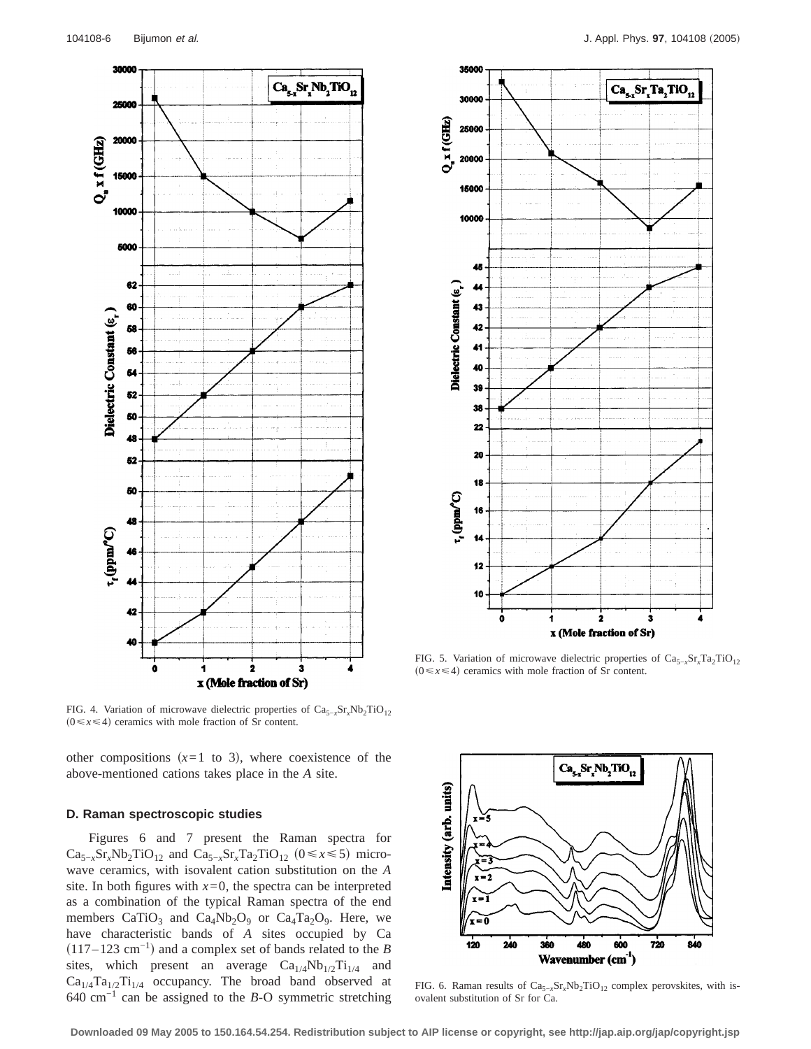

FIG. 4. Variation of microwave dielectric properties of Ca<sub>5−*x*</sub>Sr<sub>*x*</sub>Nb<sub>2</sub>TiO<sub>12</sub>  $(0 \le x \le 4)$  ceramics with mole fraction of Sr content.

other compositions  $(x=1 \text{ to } 3)$ , where coexistence of the above-mentioned cations takes place in the *A* site.

## **D. Raman spectroscopic studies**

Figures 6 and 7 present the Raman spectra for  $Ca_{5-x}Sr_xNb_2TiO_{12}$  and  $Ca_{5-x}Sr_xTa_2TiO_{12}$  ( $0 \le x \le 5$ ) microwave ceramics, with isovalent cation substitution on the *A* site. In both figures with  $x=0$ , the spectra can be interpreted as a combination of the typical Raman spectra of the end members  $CaTiO<sub>3</sub>$  and  $Ca<sub>4</sub>Nb<sub>2</sub>O<sub>9</sub>$  or  $Ca<sub>4</sub>Ta<sub>2</sub>O<sub>9</sub>$ . Here, we have characteristic bands of *A* sites occupied by Ca  $(117–123 \text{ cm}^{-1})$  and a complex set of bands related to the *B* sites, which present an average  $Ca_{1/4}Nb_{1/2}Ti_{1/4}$  and  $Ca_{1/4}Ta_{1/2}Ti_{1/4}$  occupancy. The broad band observed at 640 cm−1 can be assigned to the *B*-O symmetric stretching



FIG. 5. Variation of microwave dielectric properties of Ca<sub>5−*x*</sub>Sr<sub>*x*</sub>Ta<sub>2</sub>TiO<sub>12</sub>  $(0 \le x \le 4)$  ceramics with mole fraction of Sr content.



FIG. 6. Raman results of Ca<sub>5−*x*</sub>Sr<sub>*x*</sub>Nb<sub>2</sub>TiO<sub>12</sub> complex perovskites, with isovalent substitution of Sr for Ca.

**Downloaded 09 May 2005 to 150.164.54.254. Redistribution subject to AIP license or copyright, see http://jap.aip.org/jap/copyright.jsp**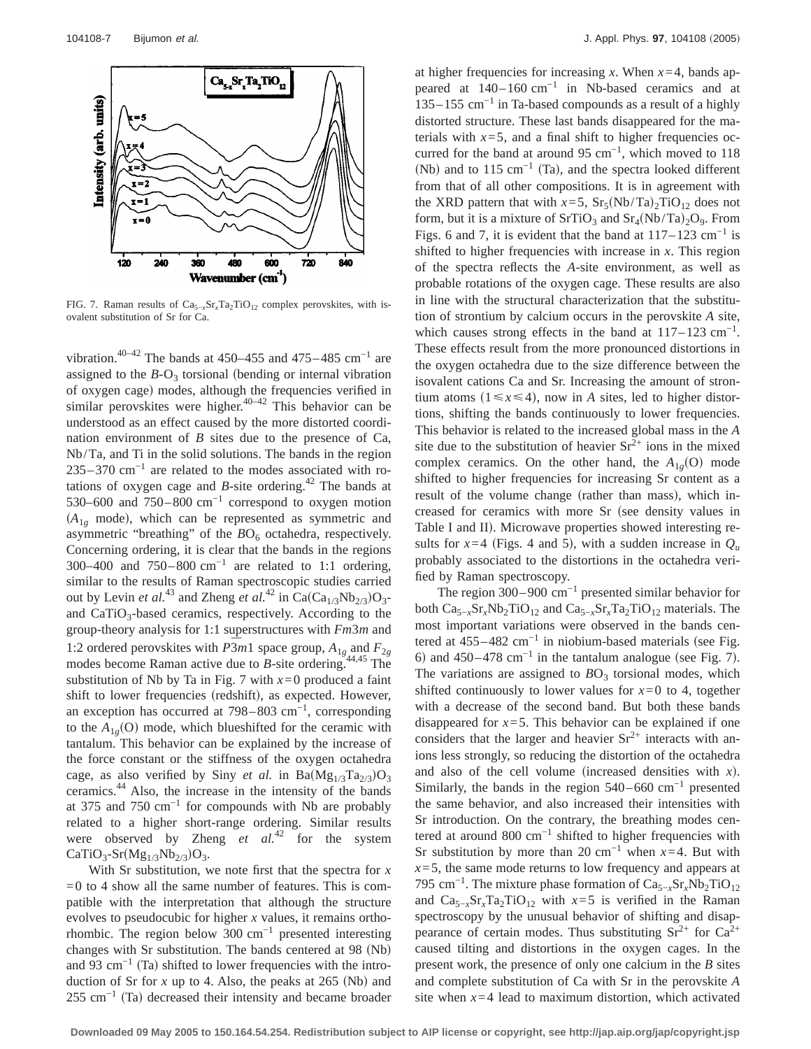

FIG. 7. Raman results of Ca<sub>5−*x*</sub>Sr<sub>*x*</sub>Ta<sub>2</sub>TiO<sub>12</sub> complex perovskites, with isovalent substitution of Sr for Ca.

vibration.<sup>40–42</sup> The bands at 450–455 and 475–485 cm<sup>-1</sup> are assigned to the  $B-O_3$  torsional (bending or internal vibration of oxygen cage) modes, although the frequencies verified in similar perovskites were higher.<sup>40–42</sup> This behavior can be understood as an effect caused by the more distorted coordination environment of *B* sites due to the presence of Ca, Nb/Ta, and Ti in the solid solutions. The bands in the region  $235-370$  cm<sup>-1</sup> are related to the modes associated with rotations of oxygen cage and  $B$ -site ordering.<sup>42</sup> The bands at 530–600 and 750–800 cm−1 correspond to oxygen motion  $(A_{1g} \text{ mode})$ , which can be represented as symmetric and asymmetric "breathing" of the  $BO<sub>6</sub>$  octahedra, respectively. Concerning ordering, it is clear that the bands in the regions 300–400 and  $750-800$  cm<sup>-1</sup> are related to 1:1 ordering, similar to the results of Raman spectroscopic studies carried out by Levin *et al.*<sup>43</sup> and Zheng *et al.*<sup>42</sup> in Ca(Ca<sub>1/3</sub>Nb<sub>2/3</sub>)O<sub>3</sub>and CaTiO<sub>3</sub>-based ceramics, respectively. According to the group-theory analysis for 1:1 superstructures with *Fm*3*m* and 1:2 ordered perovskites with  $\overline{P3}m1$  space group,  $A_{1g}$  and  $F_{2g}$ modes become Raman active due to *B*-site ordering.<sup>44,45</sup> The substitution of Nb by Ta in Fig. 7 with  $x=0$  produced a faint shift to lower frequencies (redshift), as expected. However, an exception has occurred at 798–803 cm−1, corresponding to the  $A_{1g}(O)$  mode, which blueshifted for the ceramic with tantalum. This behavior can be explained by the increase of the force constant or the stiffness of the oxygen octahedra cage, as also verified by Siny *et al.* in  $Ba(Mg_{1/3}Ta_{2/3})O_3$ ceramics.44 Also, the increase in the intensity of the bands at 375 and 750 cm<sup>-1</sup> for compounds with Nb are probably related to a higher short-range ordering. Similar results were observed by Zheng *et al.*<sup>42</sup> for the system  $CaTiO<sub>3</sub>-Sr(Mg<sub>1/3</sub>Nb<sub>2/3</sub>)O<sub>3</sub>.$ 

With Sr substitution, we note first that the spectra for *x*  $=0$  to 4 show all the same number of features. This is compatible with the interpretation that although the structure evolves to pseudocubic for higher *x* values, it remains orthorhombic. The region below 300  $cm^{-1}$  presented interesting changes with Sr substitution. The bands centered at  $98$  (Nb) and 93 cm<sup>-1</sup> (Ta) shifted to lower frequencies with the introduction of Sr for  $x$  up to 4. Also, the peaks at 265 (Nb) and  $255$  cm<sup>-1</sup> (Ta) decreased their intensity and became broader at higher frequencies for increasing  $x$ . When  $x=4$ , bands appeared at 140–160 cm−1 in Nb-based ceramics and at 135–155 cm−1 in Ta-based compounds as a result of a highly distorted structure. These last bands disappeared for the materials with  $x=5$ , and a final shift to higher frequencies occurred for the band at around 95 cm−1, which moved to 118 (Nb) and to 115 cm<sup>-1</sup> (Ta), and the spectra looked different from that of all other compositions. It is in agreement with the XRD pattern that with  $x=5$ ,  $Sr<sub>5</sub>(Nb/Ta)<sub>2</sub>TiO<sub>12</sub>$  does not form, but it is a mixture of  $SrTiO<sub>3</sub>$  and  $Sr<sub>4</sub>(Nb/Ta)<sub>2</sub>O<sub>9</sub>$ . From Figs. 6 and 7, it is evident that the band at  $117-123$  cm<sup>-1</sup> is shifted to higher frequencies with increase in *x*. This region of the spectra reflects the *A*-site environment, as well as probable rotations of the oxygen cage. These results are also in line with the structural characterization that the substitution of strontium by calcium occurs in the perovskite *A* site, which causes strong effects in the band at  $117-123$  cm<sup>-1</sup>. These effects result from the more pronounced distortions in the oxygen octahedra due to the size difference between the isovalent cations Ca and Sr. Increasing the amount of strontium atoms  $(1 \le x \le 4)$ , now in *A* sites, led to higher distortions, shifting the bands continuously to lower frequencies. This behavior is related to the increased global mass in the *A* site due to the substitution of heavier  $Sr^{2+}$  ions in the mixed complex ceramics. On the other hand, the  $A_{1g}(O)$  mode shifted to higher frequencies for increasing Sr content as a result of the volume change (rather than mass), which increased for ceramics with more Sr (see density values in Table I and II). Microwave properties showed interesting results for  $x=4$  (Figs. 4 and 5), with a sudden increase in  $Q_u$ probably associated to the distortions in the octahedra verified by Raman spectroscopy.

The region 300–900 cm−1 presented similar behavior for both Ca<sub>5−*x*</sub>Sr<sub>*x*</sub>Nb<sub>2</sub>TiO<sub>12</sub> and Ca<sub>5−*x*</sub>Sr<sub>*x*</sub>Ta<sub>2</sub>TiO<sub>12</sub> materials. The most important variations were observed in the bands centered at  $455-482$  cm<sup>-1</sup> in niobium-based materials (see Fig. 6) and 450–478 cm<sup>-1</sup> in the tantalum analogue (see Fig. 7). The variations are assigned to  $BO<sub>3</sub>$  torsional modes, which shifted continuously to lower values for  $x=0$  to 4, together with a decrease of the second band. But both these bands disappeared for  $x=5$ . This behavior can be explained if one considers that the larger and heavier  $Sr^{2+}$  interacts with anions less strongly, so reducing the distortion of the octahedra and also of the cell volume (increased densities with  $x$ ). Similarly, the bands in the region  $540-660$  cm<sup>-1</sup> presented the same behavior, and also increased their intensities with Sr introduction. On the contrary, the breathing modes centered at around 800 cm−1 shifted to higher frequencies with Sr substitution by more than 20 cm<sup>-1</sup> when  $x=4$ . But with  $x=5$ , the same mode returns to low frequency and appears at 795 cm<sup>-1</sup>. The mixture phase formation of Ca<sub>5-*x*</sub>Sr<sub>*x*</sub>Nb<sub>2</sub>TiO<sub>12</sub> and  $Ca_{5-x}Sr_xTa_2TiO_{12}$  with  $x=5$  is verified in the Raman spectroscopy by the unusual behavior of shifting and disappearance of certain modes. Thus substituting  $Sr^{2+}$  for  $Ca^{2+}$ caused tilting and distortions in the oxygen cages. In the present work, the presence of only one calcium in the *B* sites and complete substitution of Ca with Sr in the perovskite *A* site when  $x=4$  lead to maximum distortion, which activated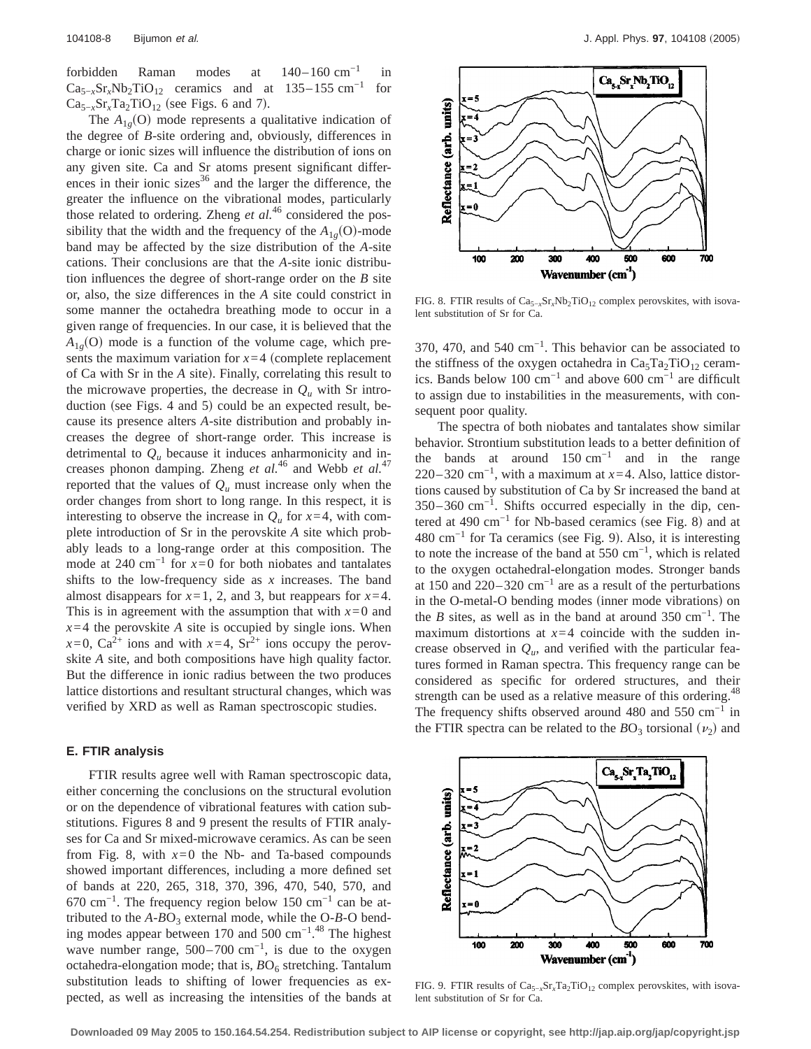forbidden Raman modes at 140–160 cm−1 in  $Ca_{5-x}Sr_xNb_2TiO_{12}$  ceramics and at 135–155 cm<sup>-1</sup> for  $Ca_{5-x}Sr_xTa_2TiO_{12}$  (see Figs. 6 and 7).

The  $A_{1g}(O)$  mode represents a qualitative indication of the degree of *B*-site ordering and, obviously, differences in charge or ionic sizes will influence the distribution of ions on any given site. Ca and Sr atoms present significant differences in their ionic sizes $36$  and the larger the difference, the greater the influence on the vibrational modes, particularly those related to ordering. Zheng *et al.*<sup>46</sup> considered the possibility that the width and the frequency of the  $A_{1g}(O)$ -mode band may be affected by the size distribution of the *A*-site cations. Their conclusions are that the *A*-site ionic distribution influences the degree of short-range order on the *B* site or, also, the size differences in the *A* site could constrict in some manner the octahedra breathing mode to occur in a given range of frequencies. In our case, it is believed that the  $A_{1g}$ (O) mode is a function of the volume cage, which presents the maximum variation for  $x=4$  (complete replacement of Ca with Sr in the *A* site). Finally, correlating this result to the microwave properties, the decrease in  $Q_u$  with Sr introduction (see Figs. 4 and 5) could be an expected result, because its presence alters *A*-site distribution and probably increases the degree of short-range order. This increase is detrimental to  $Q_u$  because it induces anharmonicity and increases phonon damping. Zheng *et al.*<sup>46</sup> and Webb *et al.*<sup>47</sup> reported that the values of  $Q_u$  must increase only when the order changes from short to long range. In this respect, it is interesting to observe the increase in  $Q_u$  for  $x=4$ , with complete introduction of Sr in the perovskite *A* site which probably leads to a long-range order at this composition. The mode at 240 cm<sup>-1</sup> for  $x=0$  for both niobates and tantalates shifts to the low-frequency side as *x* increases. The band almost disappears for  $x=1$ , 2, and 3, but reappears for  $x=4$ . This is in agreement with the assumption that with  $x=0$  and  $x=4$  the perovskite *A* site is occupied by single ions. When  $x=0$ , Ca<sup>2+</sup> ions and with  $x=4$ , Sr<sup>2+</sup> ions occupy the perovskite *A* site, and both compositions have high quality factor. But the difference in ionic radius between the two produces lattice distortions and resultant structural changes, which was verified by XRD as well as Raman spectroscopic studies.

# **E. FTIR analysis**

FTIR results agree well with Raman spectroscopic data, either concerning the conclusions on the structural evolution or on the dependence of vibrational features with cation substitutions. Figures 8 and 9 present the results of FTIR analyses for Ca and Sr mixed-microwave ceramics. As can be seen from Fig. 8, with  $x=0$  the Nb- and Ta-based compounds showed important differences, including a more defined set of bands at 220, 265, 318, 370, 396, 470, 540, 570, and  $670 \text{ cm}^{-1}$ . The frequency region below 150 cm<sup>-1</sup> can be attributed to the  $A$ - $B$ O<sub>3</sub> external mode, while the O- $B$ -O bending modes appear between 170 and 500 cm<sup>-1.48</sup> The highest wave number range,  $500-700$  cm<sup>-1</sup>, is due to the oxygen octahedra-elongation mode; that is,  $BO<sub>6</sub>$  stretching. Tantalum substitution leads to shifting of lower frequencies as expected, as well as increasing the intensities of the bands at



FIG. 8. FTIR results of Ca<sub>5−*x*</sub>Sr<sub>*x*</sub>Nb<sub>2</sub>TiO<sub>12</sub> complex perovskites, with isovalent substitution of Sr for Ca.

370, 470, and 540 cm−1. This behavior can be associated to the stiffness of the oxygen octahedra in  $Ca<sub>5</sub>Ta<sub>2</sub>TiO<sub>12</sub>$  ceramics. Bands below 100 cm−1 and above 600 cm−1 are difficult to assign due to instabilities in the measurements, with consequent poor quality.

The spectra of both niobates and tantalates show similar behavior. Strontium substitution leads to a better definition of the bands at around  $150 \text{ cm}^{-1}$  and in the range 220–320 cm−1, with a maximum at *x*=4. Also, lattice distortions caused by substitution of Ca by Sr increased the band at 350–360 cm−1. Shifts occurred especially in the dip, centered at 490 cm<sup>-1</sup> for Nb-based ceramics (see Fig. 8) and at 480 cm<sup>-1</sup> for Ta ceramics (see Fig. 9). Also, it is interesting to note the increase of the band at 550 cm−1, which is related to the oxygen octahedral-elongation modes. Stronger bands at 150 and 220–320  $cm^{-1}$  are as a result of the perturbations in the O-metal-O bending modes (inner mode vibrations) on the *B* sites, as well as in the band at around 350 cm<sup>-1</sup>. The maximum distortions at  $x=4$  coincide with the sudden increase observed in  $Q_u$ , and verified with the particular features formed in Raman spectra. This frequency range can be considered as specific for ordered structures, and their strength can be used as a relative measure of this ordering.<sup>48</sup> The frequency shifts observed around 480 and 550  $cm^{-1}$  in the FTIR spectra can be related to the  $BO_3$  torsional  $(\nu_2)$  and



FIG. 9. FTIR results of Ca<sub>5−*x*</sub>Sr<sub>*x*</sub>Ta<sub>2</sub>TiO<sub>12</sub> complex perovskites, with isovalent substitution of Sr for Ca.